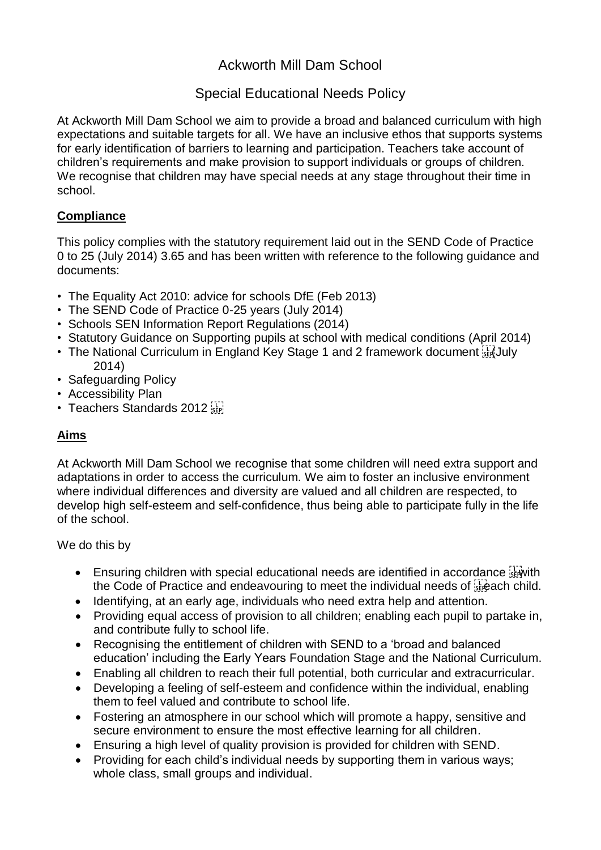# Ackworth Mill Dam School

# Special Educational Needs Policy

At Ackworth Mill Dam School we aim to provide a broad and balanced curriculum with high expectations and suitable targets for all. We have an inclusive ethos that supports systems for early identification of barriers to learning and participation. Teachers take account of children's requirements and make provision to support individuals or groups of children. We recognise that children may have special needs at any stage throughout their time in school.

## **Compliance**

This policy complies with the statutory requirement laid out in the SEND Code of Practice 0 to 25 (July 2014) 3.65 and has been written with reference to the following guidance and documents:

- The Equality Act 2010: advice for schools DfE (Feb 2013)
- The SEND Code of Practice 0-25 years (July 2014)
- Schools SEN Information Report Regulations (2014)
- Statutory Guidance on Supporting pupils at school with medical conditions (April 2014)
- The National Curriculum in England Key Stage 1 and 2 framework document starture 2014)
- Safeguarding Policy
- Accessibility Plan
- Teachers Standards 2012

## **Aims**

At Ackworth Mill Dam School we recognise that some children will need extra support and adaptations in order to access the curriculum. We aim to foster an inclusive environment where individual differences and diversity are valued and all children are respected, to develop high self-esteem and self-confidence, thus being able to participate fully in the life of the school.

We do this by

- $\bullet$  Ensuring children with special educational needs are identified in accordance  $\frac{1}{2}$  with the Code of Practice and endeavouring to meet the individual needs of  $s$ -each child.
- Identifying, at an early age, individuals who need extra help and attention.
- Providing equal access of provision to all children; enabling each pupil to partake in, and contribute fully to school life.
- Recognising the entitlement of children with SEND to a 'broad and balanced education' including the Early Years Foundation Stage and the National Curriculum.
- Enabling all children to reach their full potential, both curricular and extracurricular.
- Developing a feeling of self-esteem and confidence within the individual, enabling them to feel valued and contribute to school life.
- Fostering an atmosphere in our school which will promote a happy, sensitive and secure environment to ensure the most effective learning for all children.
- Ensuring a high level of quality provision is provided for children with SEND.
- Providing for each child's individual needs by supporting them in various ways; whole class, small groups and individual.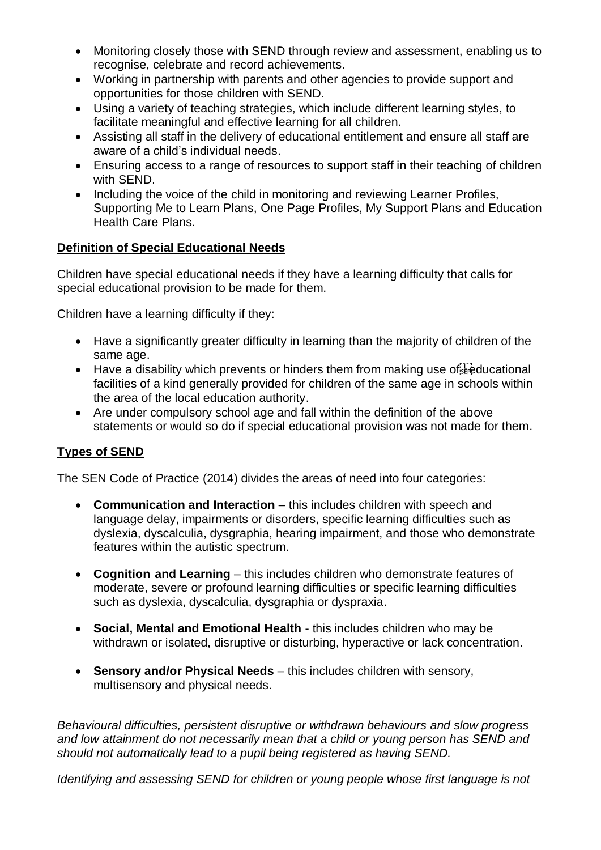- Monitoring closely those with SEND through review and assessment, enabling us to recognise, celebrate and record achievements.
- Working in partnership with parents and other agencies to provide support and opportunities for those children with SEND.
- Using a variety of teaching strategies, which include different learning styles, to facilitate meaningful and effective learning for all children.
- Assisting all staff in the delivery of educational entitlement and ensure all staff are aware of a child's individual needs.
- Ensuring access to a range of resources to support staff in their teaching of children with SEND.
- Including the voice of the child in monitoring and reviewing Learner Profiles, Supporting Me to Learn Plans, One Page Profiles, My Support Plans and Education Health Care Plans.

## **Definition of Special Educational Needs**

Children have special educational needs if they have a learning difficulty that calls for special educational provision to be made for them.

Children have a learning difficulty if they:

- Have a significantly greater difficulty in learning than the majority of children of the same age.
- $\bullet$  Have a disability which prevents or hinders them from making use of  $\ddot{\ddot{\text{SE}}}$  ducational facilities of a kind generally provided for children of the same age in schools within the area of the local education authority.
- Are under compulsory school age and fall within the definition of the above statements or would so do if special educational provision was not made for them.

### **Types of SEND**

The SEN Code of Practice (2014) divides the areas of need into four categories:

- **Communication and Interaction** this includes children with speech and language delay, impairments or disorders, specific learning difficulties such as dyslexia, dyscalculia, dysgraphia, hearing impairment, and those who demonstrate features within the autistic spectrum.
- **Cognition and Learning**  this includes children who demonstrate features of moderate, severe or profound learning difficulties or specific learning difficulties such as dyslexia, dyscalculia, dysgraphia or dyspraxia.
- **Social, Mental and Emotional Health**  this includes children who may be withdrawn or isolated, disruptive or disturbing, hyperactive or lack concentration.
- **Sensory and/or Physical Needs**  this includes children with sensory, multisensory and physical needs.

*Behavioural difficulties, persistent disruptive or withdrawn behaviours and slow progress and low attainment do not necessarily mean that a child or young person has SEND and should not automatically lead to a pupil being registered as having SEND.*

*Identifying and assessing SEND for children or young people whose first language is not*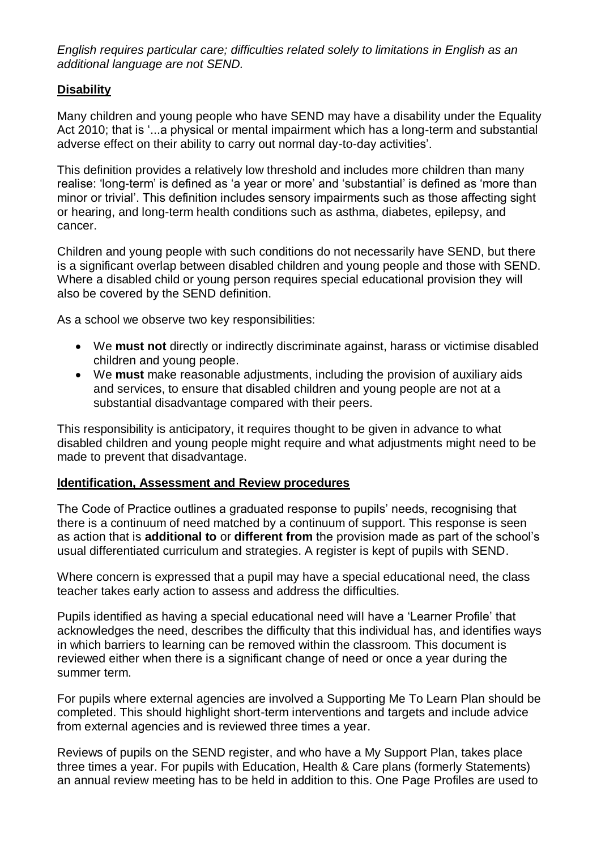*English requires particular care; difficulties related solely to limitations in English as an additional language are not SEND.*

### **Disability**

Many children and young people who have SEND may have a disability under the Equality Act 2010; that is '...a physical or mental impairment which has a long-term and substantial adverse effect on their ability to carry out normal day-to-day activities'.

This definition provides a relatively low threshold and includes more children than many realise: 'long-term' is defined as 'a year or more' and 'substantial' is defined as 'more than minor or trivial'. This definition includes sensory impairments such as those affecting sight or hearing, and long-term health conditions such as asthma, diabetes, epilepsy, and cancer.

Children and young people with such conditions do not necessarily have SEND, but there is a significant overlap between disabled children and young people and those with SEND. Where a disabled child or young person requires special educational provision they will also be covered by the SEND definition.

As a school we observe two key responsibilities:

- We **must not** directly or indirectly discriminate against, harass or victimise disabled children and young people.
- We **must** make reasonable adjustments, including the provision of auxiliary aids and services, to ensure that disabled children and young people are not at a substantial disadvantage compared with their peers.

This responsibility is anticipatory, it requires thought to be given in advance to what disabled children and young people might require and what adjustments might need to be made to prevent that disadvantage.

#### **Identification, Assessment and Review procedures**

The Code of Practice outlines a graduated response to pupils' needs, recognising that there is a continuum of need matched by a continuum of support. This response is seen as action that is **additional to** or **different from** the provision made as part of the school's usual differentiated curriculum and strategies. A register is kept of pupils with SEND.

Where concern is expressed that a pupil may have a special educational need, the class teacher takes early action to assess and address the difficulties.

Pupils identified as having a special educational need will have a 'Learner Profile' that acknowledges the need, describes the difficulty that this individual has, and identifies ways in which barriers to learning can be removed within the classroom. This document is reviewed either when there is a significant change of need or once a year during the summer term.

For pupils where external agencies are involved a Supporting Me To Learn Plan should be completed. This should highlight short-term interventions and targets and include advice from external agencies and is reviewed three times a year.

Reviews of pupils on the SEND register, and who have a My Support Plan, takes place three times a year. For pupils with Education, Health & Care plans (formerly Statements) an annual review meeting has to be held in addition to this. One Page Profiles are used to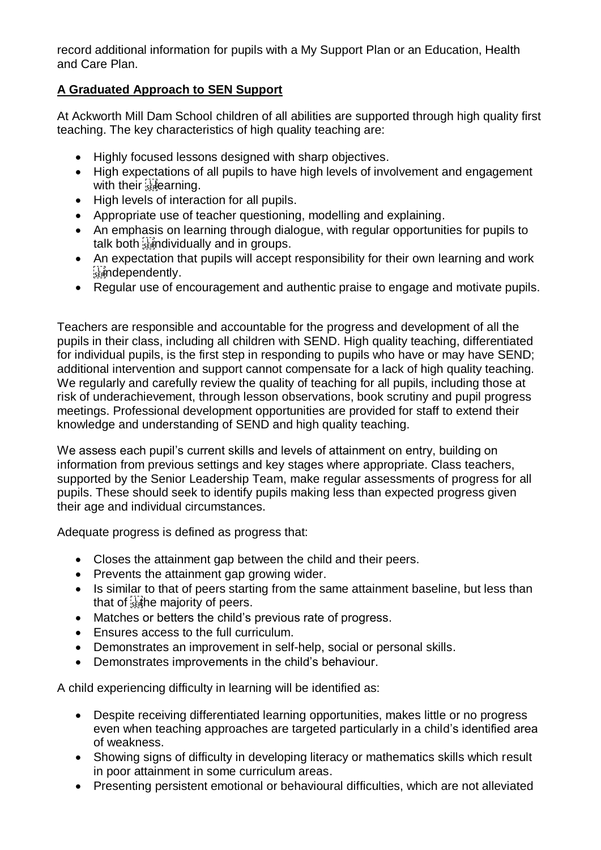record additional information for pupils with a My Support Plan or an Education, Health and Care Plan.

## **A Graduated Approach to SEN Support**

At Ackworth Mill Dam School children of all abilities are supported through high quality first teaching. The key characteristics of high quality teaching are:

- Highly focused lessons designed with sharp objectives.
- High expectations of all pupils to have high levels of involvement and engagement with their **selearning**.
- High levels of interaction for all pupils.
- Appropriate use of teacher questioning, modelling and explaining.
- An emphasis on learning through dialogue, with regular opportunities for pupils to talk both standividually and in groups.
- An expectation that pupils will accept responsibility for their own learning and work **issued** condently.
- Regular use of encouragement and authentic praise to engage and motivate pupils.

Teachers are responsible and accountable for the progress and development of all the pupils in their class, including all children with SEND. High quality teaching, differentiated for individual pupils, is the first step in responding to pupils who have or may have SEND; additional intervention and support cannot compensate for a lack of high quality teaching. We regularly and carefully review the quality of teaching for all pupils, including those at risk of underachievement, through lesson observations, book scrutiny and pupil progress meetings. Professional development opportunities are provided for staff to extend their knowledge and understanding of SEND and high quality teaching.

We assess each pupil's current skills and levels of attainment on entry, building on information from previous settings and key stages where appropriate. Class teachers, supported by the Senior Leadership Team, make regular assessments of progress for all pupils. These should seek to identify pupils making less than expected progress given their age and individual circumstances.

Adequate progress is defined as progress that:

- Closes the attainment gap between the child and their peers.
- Prevents the attainment gap growing wider.
- Is similar to that of peers starting from the same attainment baseline, but less than that of state majority of peers.
- Matches or betters the child's previous rate of progress.
- Ensures access to the full curriculum.
- Demonstrates an improvement in self-help, social or personal skills.
- Demonstrates improvements in the child's behaviour.

A child experiencing difficulty in learning will be identified as:

- Despite receiving differentiated learning opportunities, makes little or no progress even when teaching approaches are targeted particularly in a child's identified area of weakness.
- Showing signs of difficulty in developing literacy or mathematics skills which result in poor attainment in some curriculum areas.
- Presenting persistent emotional or behavioural difficulties, which are not alleviated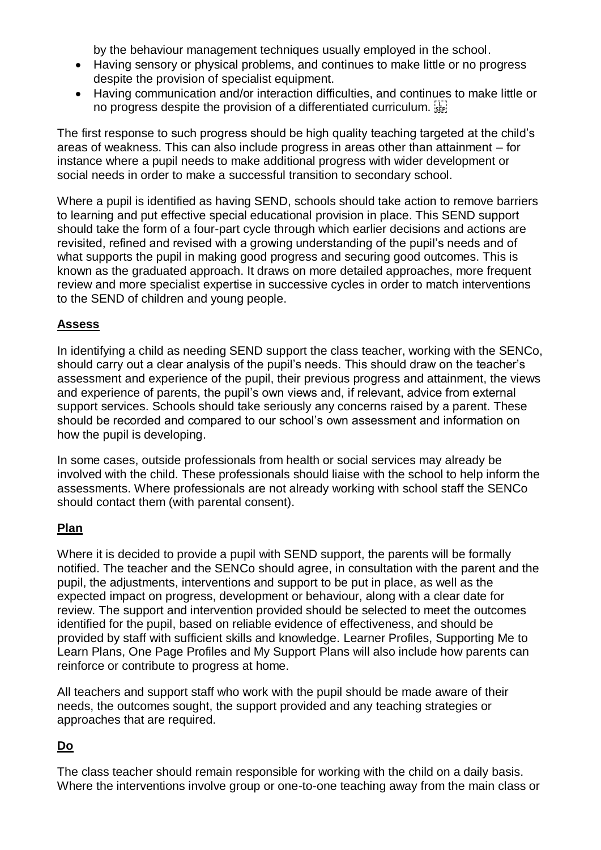by the behaviour management techniques usually employed in the school.

- Having sensory or physical problems, and continues to make little or no progress despite the provision of specialist equipment.
- Having communication and/or interaction difficulties, and continues to make little or no progress despite the provision of a differentiated curriculum.

The first response to such progress should be high quality teaching targeted at the child's areas of weakness. This can also include progress in areas other than attainment – for instance where a pupil needs to make additional progress with wider development or social needs in order to make a successful transition to secondary school.

Where a pupil is identified as having SEND, schools should take action to remove barriers to learning and put effective special educational provision in place. This SEND support should take the form of a four-part cycle through which earlier decisions and actions are revisited, refined and revised with a growing understanding of the pupil's needs and of what supports the pupil in making good progress and securing good outcomes. This is known as the graduated approach. It draws on more detailed approaches, more frequent review and more specialist expertise in successive cycles in order to match interventions to the SEND of children and young people.

## **Assess**

In identifying a child as needing SEND support the class teacher, working with the SENCo, should carry out a clear analysis of the pupil's needs. This should draw on the teacher's assessment and experience of the pupil, their previous progress and attainment, the views and experience of parents, the pupil's own views and, if relevant, advice from external support services. Schools should take seriously any concerns raised by a parent. These should be recorded and compared to our school's own assessment and information on how the pupil is developing.

In some cases, outside professionals from health or social services may already be involved with the child. These professionals should liaise with the school to help inform the assessments. Where professionals are not already working with school staff the SENCo should contact them (with parental consent).

### **Plan**

Where it is decided to provide a pupil with SEND support, the parents will be formally notified. The teacher and the SENCo should agree, in consultation with the parent and the pupil, the adjustments, interventions and support to be put in place, as well as the expected impact on progress, development or behaviour, along with a clear date for review. The support and intervention provided should be selected to meet the outcomes identified for the pupil, based on reliable evidence of effectiveness, and should be provided by staff with sufficient skills and knowledge. Learner Profiles, Supporting Me to Learn Plans, One Page Profiles and My Support Plans will also include how parents can reinforce or contribute to progress at home.

All teachers and support staff who work with the pupil should be made aware of their needs, the outcomes sought, the support provided and any teaching strategies or approaches that are required.

## **Do**

The class teacher should remain responsible for working with the child on a daily basis. Where the interventions involve group or one-to-one teaching away from the main class or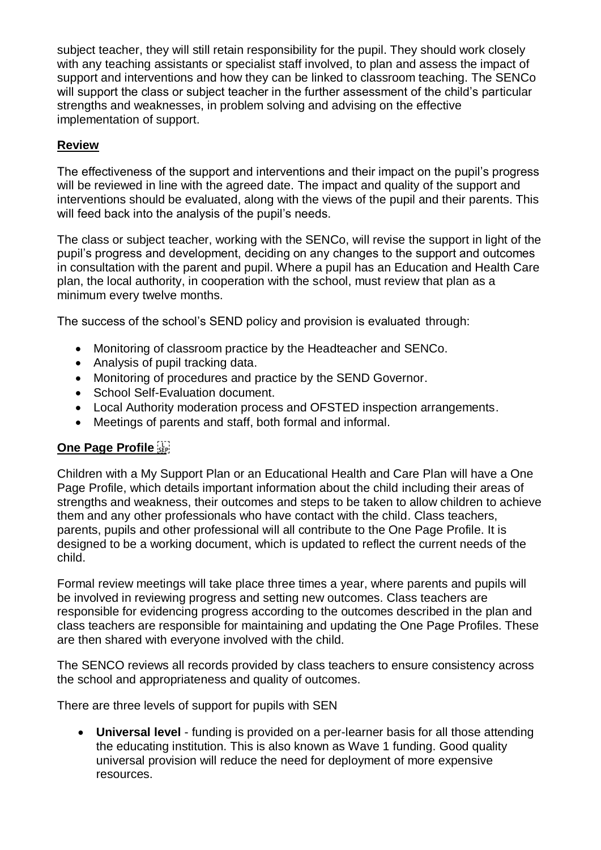subject teacher, they will still retain responsibility for the pupil. They should work closely with any teaching assistants or specialist staff involved, to plan and assess the impact of support and interventions and how they can be linked to classroom teaching. The SENCo will support the class or subject teacher in the further assessment of the child's particular strengths and weaknesses, in problem solving and advising on the effective implementation of support.

## **Review**

The effectiveness of the support and interventions and their impact on the pupil's progress will be reviewed in line with the agreed date. The impact and quality of the support and interventions should be evaluated, along with the views of the pupil and their parents. This will feed back into the analysis of the pupil's needs.

The class or subject teacher, working with the SENCo, will revise the support in light of the pupil's progress and development, deciding on any changes to the support and outcomes in consultation with the parent and pupil. Where a pupil has an Education and Health Care plan, the local authority, in cooperation with the school, must review that plan as a minimum every twelve months.

The success of the school's SEND policy and provision is evaluated through:

- Monitoring of classroom practice by the Headteacher and SENCo.
- Analysis of pupil tracking data.
- Monitoring of procedures and practice by the SEND Governor.
- School Self-Evaluation document.
- Local Authority moderation process and OFSTED inspection arrangements.
- Meetings of parents and staff, both formal and informal.

## **One Page Profile**

Children with a My Support Plan or an Educational Health and Care Plan will have a One Page Profile, which details important information about the child including their areas of strengths and weakness, their outcomes and steps to be taken to allow children to achieve them and any other professionals who have contact with the child. Class teachers, parents, pupils and other professional will all contribute to the One Page Profile. It is designed to be a working document, which is updated to reflect the current needs of the child.

Formal review meetings will take place three times a year, where parents and pupils will be involved in reviewing progress and setting new outcomes. Class teachers are responsible for evidencing progress according to the outcomes described in the plan and class teachers are responsible for maintaining and updating the One Page Profiles. These are then shared with everyone involved with the child.

The SENCO reviews all records provided by class teachers to ensure consistency across the school and appropriateness and quality of outcomes.

There are three levels of support for pupils with SEN

 **Universal level** - funding is provided on a per-learner basis for all those attending the educating institution. This is also known as Wave 1 funding. Good quality universal provision will reduce the need for deployment of more expensive resources.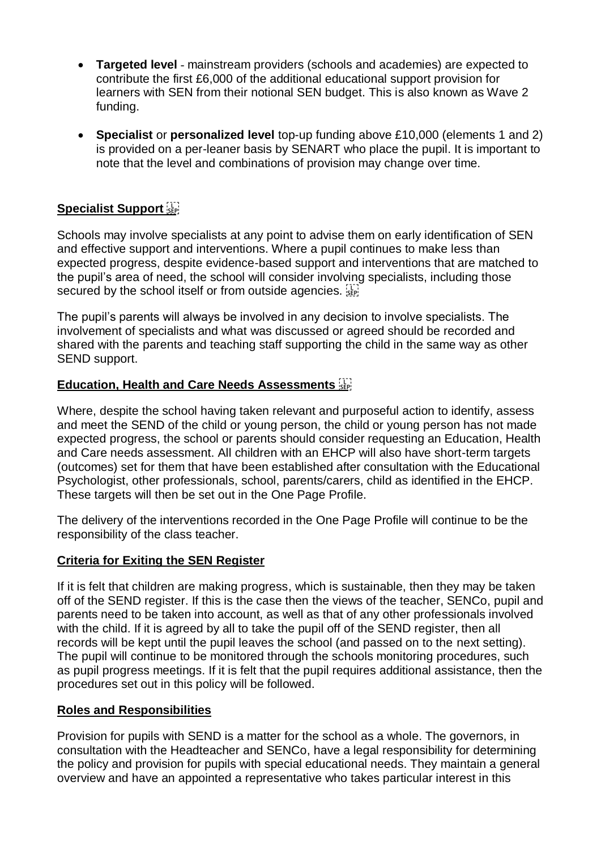- **Targeted level** mainstream providers (schools and academies) are expected to contribute the first £6,000 of the additional educational support provision for learners with SEN from their notional SEN budget. This is also known as Wave 2 funding.
- **Specialist** or **personalized level** top-up funding above £10,000 (elements 1 and 2) is provided on a per-leaner basis by SENART who place the pupil. It is important to note that the level and combinations of provision may change over time.

### **Specialist Support**

Schools may involve specialists at any point to advise them on early identification of SEN and effective support and interventions. Where a pupil continues to make less than expected progress, despite evidence-based support and interventions that are matched to the pupil's area of need, the school will consider involving specialists, including those secured by the school itself or from outside agencies.

The pupil's parents will always be involved in any decision to involve specialists. The involvement of specialists and what was discussed or agreed should be recorded and shared with the parents and teaching staff supporting the child in the same way as other SEND support.

#### **Education, Health and Care Needs Assessments**

Where, despite the school having taken relevant and purposeful action to identify, assess and meet the SEND of the child or young person, the child or young person has not made expected progress, the school or parents should consider requesting an Education, Health and Care needs assessment. All children with an EHCP will also have short-term targets (outcomes) set for them that have been established after consultation with the Educational Psychologist, other professionals, school, parents/carers, child as identified in the EHCP. These targets will then be set out in the One Page Profile.

The delivery of the interventions recorded in the One Page Profile will continue to be the responsibility of the class teacher.

#### **Criteria for Exiting the SEN Register**

If it is felt that children are making progress, which is sustainable, then they may be taken off of the SEND register. If this is the case then the views of the teacher, SENCo, pupil and parents need to be taken into account, as well as that of any other professionals involved with the child. If it is agreed by all to take the pupil off of the SEND register, then all records will be kept until the pupil leaves the school (and passed on to the next setting). The pupil will continue to be monitored through the schools monitoring procedures, such as pupil progress meetings. If it is felt that the pupil requires additional assistance, then the procedures set out in this policy will be followed.

#### **Roles and Responsibilities**

Provision for pupils with SEND is a matter for the school as a whole. The governors, in consultation with the Headteacher and SENCo, have a legal responsibility for determining the policy and provision for pupils with special educational needs. They maintain a general overview and have an appointed a representative who takes particular interest in this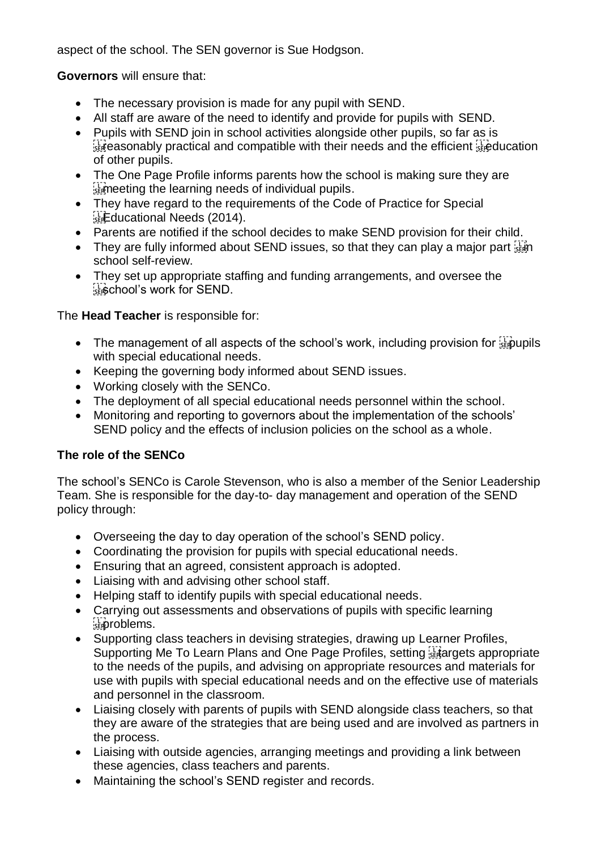aspect of the school. The SEN governor is Sue Hodgson.

**Governors** will ensure that:

- The necessary provision is made for any pupil with SEND.
- All staff are aware of the need to identify and provide for pupils with SEND.
- Pupils with SEND join in school activities alongside other pupils, so far as is  $\frac{1}{100}$  reasonably practical and compatible with their needs and the efficient  $\frac{1}{100}$  ducation of other pupils.
- The One Page Profile informs parents how the school is making sure they are  $\frac{1}{25}$  meeting the learning needs of individual pupils.
- They have regard to the requirements of the Code of Practice for Special **Educational Needs (2014).**
- Parents are notified if the school decides to make SEND provision for their child.
- They are fully informed about SEND issues, so that they can play a major part  $\frac{1}{3}$ school self-review.
- They set up appropriate staffing and funding arrangements, and oversee the school's work for SEND.

The **Head Teacher** is responsible for:

- The management of all aspects of the school's work, including provision for  $\frac{1}{2}$  pupils with special educational needs.
- Keeping the governing body informed about SEND issues.
- Working closely with the SENCo.
- The deployment of all special educational needs personnel within the school.
- Monitoring and reporting to governors about the implementation of the schools' SEND policy and the effects of inclusion policies on the school as a whole.

### **The role of the SENCo**

The school's SENCo is Carole Stevenson, who is also a member of the Senior Leadership Team. She is responsible for the day-to- day management and operation of the SEND policy through:

- Overseeing the day to day operation of the school's SEND policy.
- Coordinating the provision for pupils with special educational needs.
- Ensuring that an agreed, consistent approach is adopted.
- Liaising with and advising other school staff.
- Helping staff to identify pupils with special educational needs.
- Carrying out assessments and observations of pupils with specific learning stroblems.
- Supporting class teachers in devising strategies, drawing up Learner Profiles, Supporting Me To Learn Plans and One Page Profiles, setting Figures appropriate to the needs of the pupils, and advising on appropriate resources and materials for use with pupils with special educational needs and on the effective use of materials and personnel in the classroom.
- Liaising closely with parents of pupils with SEND alongside class teachers, so that they are aware of the strategies that are being used and are involved as partners in the process.
- Liaising with outside agencies, arranging meetings and providing a link between these agencies, class teachers and parents.
- Maintaining the school's SEND register and records.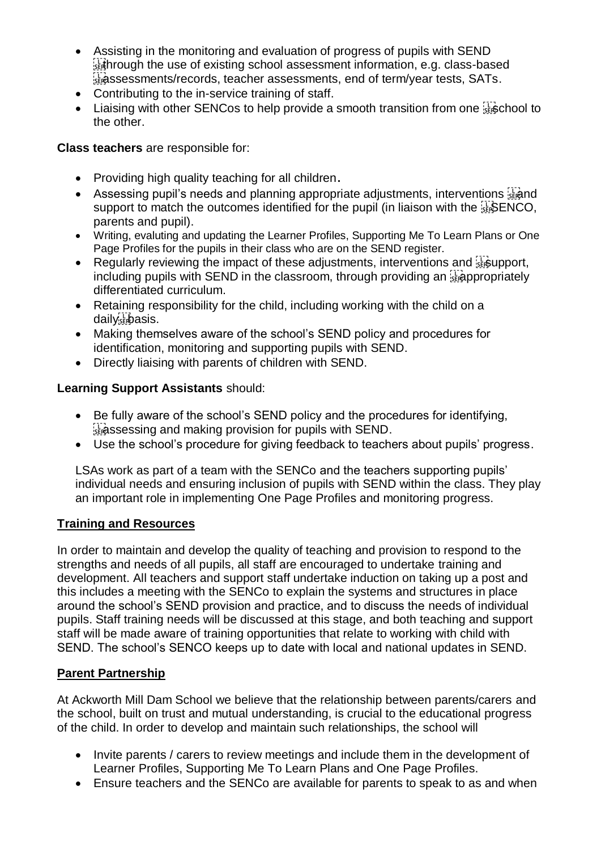- Assisting in the monitoring and evaluation of progress of pupils with SEND  $\frac{1}{3}$  hrough the use of existing school assessment information, e.g. class-based strassessments/records, teacher assessments, end of term/year tests, SATs.
- Contributing to the in-service training of staff.
- Liaising with other SENCos to help provide a smooth transition from one  $\frac{1}{356}$ chool to the other.

### **Class teachers** are responsible for:

- Providing high quality teaching for all children.
- Assessing pupil's needs and planning appropriate adjustments, interventions  $\mathbb{F}_q$  and support to match the outcomes identified for the pupil (in liaison with the **SENCO**, parents and pupil).
- Writing, evaluting and updating the Learner Profiles, Supporting Me To Learn Plans or One Page Profiles for the pupils in their class who are on the SEND register.
- Regularly reviewing the impact of these adjustments, interventions and  $\frac{1}{15}$  support, including pupils with SEND in the classroom, through providing an  $\frac{1}{2}$  appropriately differentiated curriculum.
- Retaining responsibility for the child, including working with the child on a daily basis.
- Making themselves aware of the school's SEND policy and procedures for identification, monitoring and supporting pupils with SEND.
- Directly liaising with parents of children with SEND.

### **Learning Support Assistants** should:

- Be fully aware of the school's SEND policy and the procedures for identifying,  $\frac{1}{360}$  assessing and making provision for pupils with SEND.
- Use the school's procedure for giving feedback to teachers about pupils' progress.

LSAs work as part of a team with the SENCo and the teachers supporting pupils' individual needs and ensuring inclusion of pupils with SEND within the class. They play an important role in implementing One Page Profiles and monitoring progress.

#### **Training and Resources**

In order to maintain and develop the quality of teaching and provision to respond to the strengths and needs of all pupils, all staff are encouraged to undertake training and development. All teachers and support staff undertake induction on taking up a post and this includes a meeting with the SENCo to explain the systems and structures in place around the school's SEND provision and practice, and to discuss the needs of individual pupils. Staff training needs will be discussed at this stage, and both teaching and support staff will be made aware of training opportunities that relate to working with child with SEND. The school's SENCO keeps up to date with local and national updates in SEND.

### **Parent Partnership**

At Ackworth Mill Dam School we believe that the relationship between parents/carers and the school, built on trust and mutual understanding, is crucial to the educational progress of the child. In order to develop and maintain such relationships, the school will

- Invite parents / carers to review meetings and include them in the development of Learner Profiles, Supporting Me To Learn Plans and One Page Profiles.
- Ensure teachers and the SENCo are available for parents to speak to as and when